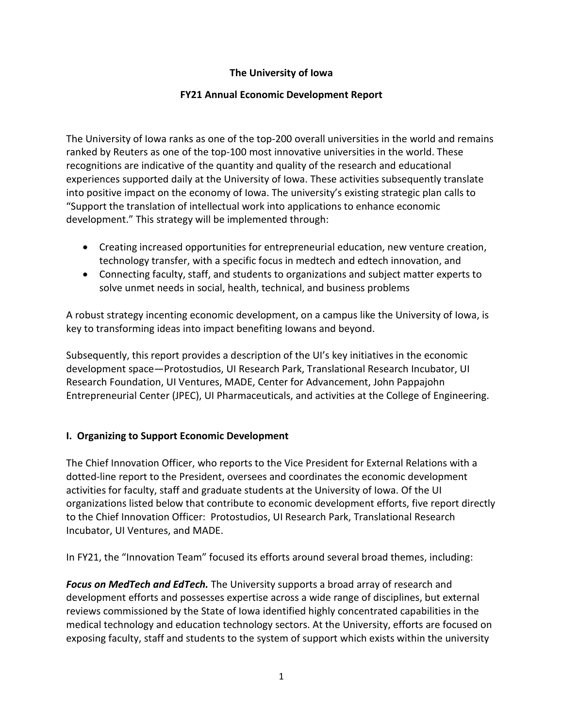## **The University of Iowa**

## **FY21 Annual Economic Development Report**

The University of Iowa ranks as one of the top-200 overall universities in the world and remains ranked by Reuters as one of the top-100 most innovative universities in the world. These recognitions are indicative of the quantity and quality of the research and educational experiences supported daily at the University of Iowa. These activities subsequently translate into positive impact on the economy of Iowa. The university's existing strategic plan calls to "Support the translation of intellectual work into applications to enhance economic development." This strategy will be implemented through:

- Creating increased opportunities for entrepreneurial education, new venture creation, technology transfer, with a specific focus in medtech and edtech innovation, and
- Connecting faculty, staff, and students to organizations and subject matter experts to solve unmet needs in social, health, technical, and business problems

A robust strategy incenting economic development, on a campus like the University of Iowa, is key to transforming ideas into impact benefiting Iowans and beyond.

Subsequently, this report provides a description of the UI's key initiatives in the economic development space—Protostudios, UI Research Park, Translational Research Incubator, UI Research Foundation, UI Ventures, MADE, Center for Advancement, John Pappajohn Entrepreneurial Center (JPEC), UI Pharmaceuticals, and activities at the College of Engineering.

## **I. Organizing to Support Economic Development**

The Chief Innovation Officer, who reports to the Vice President for External Relations with a dotted-line report to the President, oversees and coordinates the economic development activities for faculty, staff and graduate students at the University of Iowa. Of the UI organizations listed below that contribute to economic development efforts, five report directly to the Chief Innovation Officer: Protostudios, UI Research Park, Translational Research Incubator, UI Ventures, and MADE.

In FY21, the "Innovation Team" focused its efforts around several broad themes, including:

*Focus on MedTech and EdTech.* The University supports a broad array of research and development efforts and possesses expertise across a wide range of disciplines, but external reviews commissioned by the State of Iowa identified highly concentrated capabilities in the medical technology and education technology sectors. At the University, efforts are focused on exposing faculty, staff and students to the system of support which exists within the university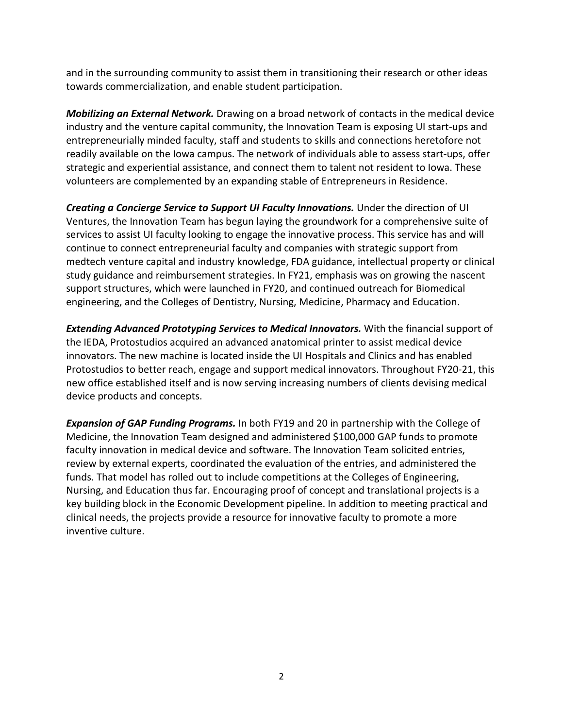and in the surrounding community to assist them in transitioning their research or other ideas towards commercialization, and enable student participation.

*Mobilizing an External Network.* Drawing on a broad network of contacts in the medical device industry and the venture capital community, the Innovation Team is exposing UI start-ups and entrepreneurially minded faculty, staff and students to skills and connections heretofore not readily available on the Iowa campus. The network of individuals able to assess start-ups, offer strategic and experiential assistance, and connect them to talent not resident to Iowa. These volunteers are complemented by an expanding stable of Entrepreneurs in Residence.

*Creating a Concierge Service to Support UI Faculty Innovations.* Under the direction of UI Ventures, the Innovation Team has begun laying the groundwork for a comprehensive suite of services to assist UI faculty looking to engage the innovative process. This service has and will continue to connect entrepreneurial faculty and companies with strategic support from medtech venture capital and industry knowledge, FDA guidance, intellectual property or clinical study guidance and reimbursement strategies. In FY21, emphasis was on growing the nascent support structures, which were launched in FY20, and continued outreach for Biomedical engineering, and the Colleges of Dentistry, Nursing, Medicine, Pharmacy and Education.

*Extending Advanced Prototyping Services to Medical Innovators.* With the financial support of the IEDA, Protostudios acquired an advanced anatomical printer to assist medical device innovators. The new machine is located inside the UI Hospitals and Clinics and has enabled Protostudios to better reach, engage and support medical innovators. Throughout FY20-21, this new office established itself and is now serving increasing numbers of clients devising medical device products and concepts.

*Expansion of GAP Funding Programs.* In both FY19 and 20 in partnership with the College of Medicine, the Innovation Team designed and administered \$100,000 GAP funds to promote faculty innovation in medical device and software. The Innovation Team solicited entries, review by external experts, coordinated the evaluation of the entries, and administered the funds. That model has rolled out to include competitions at the Colleges of Engineering, Nursing, and Education thus far. Encouraging proof of concept and translational projects is a key building block in the Economic Development pipeline. In addition to meeting practical and clinical needs, the projects provide a resource for innovative faculty to promote a more inventive culture.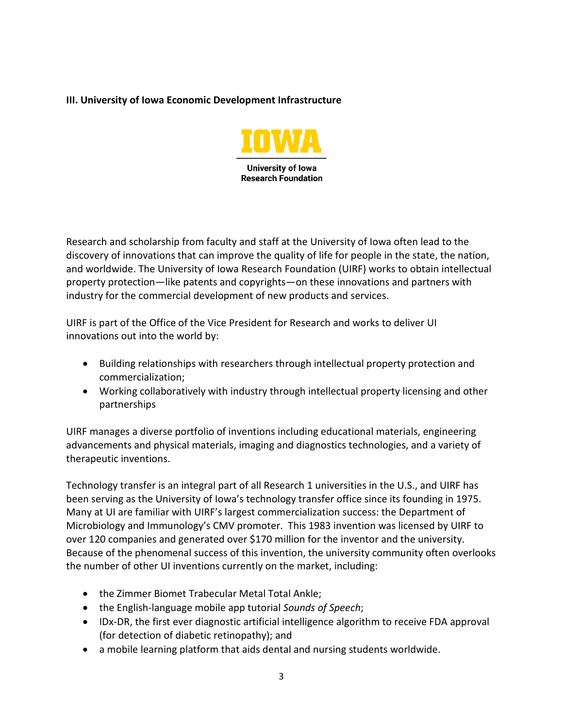## **III. University of Iowa Economic Development Infrastructure**



Research and scholarship from faculty and staff at the University of Iowa often lead to the discovery of innovations that can improve the quality of life for people in the state, the nation, and worldwide. The University of Iowa Research Foundation (UIRF) works to obtain intellectual property protection—like patents and copyrights—on these innovations and partners with industry for the commercial development of new products and services.

UIRF is part of the Office of the Vice President for Research and works to deliver UI innovations out into the world by:

- Building relationships with researchers through intellectual property protection and commercialization;
- Working collaboratively with industry through intellectual property licensing and other partnerships

UIRF manages a diverse portfolio of inventions including educational materials, engineering advancements and physical materials, imaging and diagnostics technologies, and a variety of therapeutic inventions.

Technology transfer is an integral part of all Research 1 universities in the U.S., and UIRF has been serving as the University of Iowa's technology transfer office since its founding in 1975. Many at UI are familiar with UIRF's largest commercialization success: the Department of Microbiology and Immunology's CMV promoter. This 1983 invention was licensed by UIRF to over 120 companies and generated over \$170 million for the inventor and the university. Because of the phenomenal success of this invention, the university community often overlooks the number of other UI inventions currently on the market, including:

- the Zimmer Biomet Trabecular Metal Total Ankle;
- the English-language mobile app tutorial *Sounds of Speech*;
- IDx-DR, the first ever diagnostic artificial intelligence algorithm to receive FDA approval (for detection of diabetic retinopathy); and
- a mobile learning platform that aids dental and nursing students worldwide.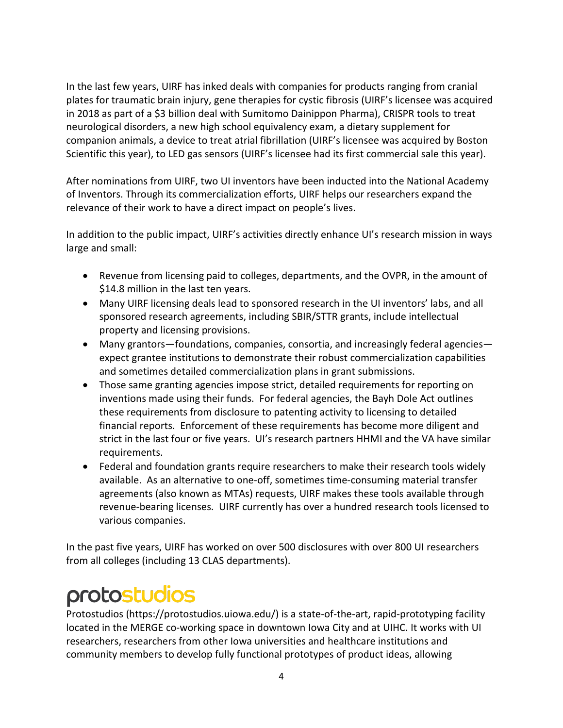In the last few years, UIRF has inked deals with companies for products ranging from cranial plates for traumatic brain injury, gene therapies for cystic fibrosis (UIRF's licensee was acquired in 2018 as part of a \$3 billion deal with Sumitomo Dainippon Pharma), CRISPR tools to treat neurological disorders, a new high school equivalency exam, a dietary supplement for companion animals, a device to treat atrial fibrillation (UIRF's licensee was acquired by Boston Scientific this year), to LED gas sensors (UIRF's licensee had its first commercial sale this year).

After nominations from UIRF, two UI inventors have been inducted into the National Academy of Inventors. Through its commercialization efforts, UIRF helps our researchers expand the relevance of their work to have a direct impact on people's lives.

In addition to the public impact, UIRF's activities directly enhance UI's research mission in ways large and small:

- Revenue from licensing paid to colleges, departments, and the OVPR, in the amount of \$14.8 million in the last ten years.
- Many UIRF licensing deals lead to sponsored research in the UI inventors' labs, and all sponsored research agreements, including SBIR/STTR grants, include intellectual property and licensing provisions.
- Many grantors—foundations, companies, consortia, and increasingly federal agencies expect grantee institutions to demonstrate their robust commercialization capabilities and sometimes detailed commercialization plans in grant submissions.
- Those same granting agencies impose strict, detailed requirements for reporting on inventions made using their funds. For federal agencies, the Bayh Dole Act outlines these requirements from disclosure to patenting activity to licensing to detailed financial reports. Enforcement of these requirements has become more diligent and strict in the last four or five years. UI's research partners HHMI and the VA have similar requirements.
- Federal and foundation grants require researchers to make their research tools widely available. As an alternative to one-off, sometimes time-consuming material transfer agreements (also known as MTAs) requests, UIRF makes these tools available through revenue-bearing licenses. UIRF currently has over a hundred research tools licensed to various companies.

In the past five years, UIRF has worked on over 500 disclosures with over 800 UI researchers from all colleges (including 13 CLAS departments).

## protostudios

Protostudios (https://protostudios.uiowa.edu/) is a state-of-the-art, rapid-prototyping facility located in the MERGE co-working space in downtown Iowa City and at UIHC. It works with UI researchers, researchers from other Iowa universities and healthcare institutions and community members to develop fully functional prototypes of product ideas, allowing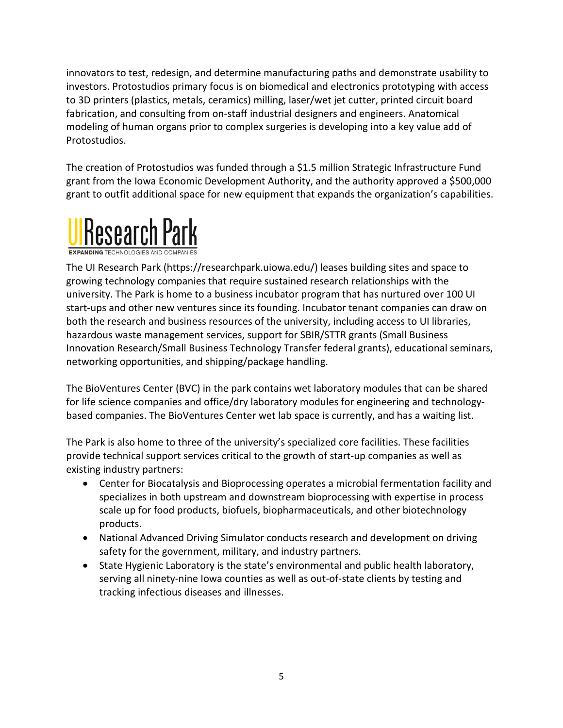innovators to test, redesign, and determine manufacturing paths and demonstrate usability to investors. Protostudios primary focus is on biomedical and electronics prototyping with access to 3D printers (plastics, metals, ceramics) milling, laser/wet jet cutter, printed circuit board fabrication, and consulting from on-staff industrial designers and engineers. Anatomical modeling of human organs prior to complex surgeries is developing into a key value add of Protostudios.

The creation of Protostudios was funded through a \$1.5 million Strategic Infrastructure Fund grant from the Iowa Economic Development Authority, and the authority approved a \$500,000 grant to outfit additional space for new equipment that expands the organization's capabilities.



The UI Research Park (https://researchpark.uiowa.edu/) leases building sites and space to growing technology companies that require sustained research relationships with the university. The Park is home to a business incubator program that has nurtured over 100 UI start-ups and other new ventures since its founding. Incubator tenant companies can draw on both the research and business resources of the university, including access to UI libraries, hazardous waste management services, support for SBIR/STTR grants (Small Business Innovation Research/Small Business Technology Transfer federal grants), educational seminars, networking opportunities, and shipping/package handling.

The BioVentures Center (BVC) in the park contains wet laboratory modules that can be shared for life science companies and office/dry laboratory modules for engineering and technologybased companies. The BioVentures Center wet lab space is currently, and has a waiting list.

The Park is also home to three of the university's specialized core facilities. These facilities provide technical support services critical to the growth of start-up companies as well as existing industry partners:

- Center for Biocatalysis and Bioprocessing operates a microbial fermentation facility and specializes in both upstream and downstream bioprocessing with expertise in process scale up for food products, biofuels, biopharmaceuticals, and other biotechnology products.
- National Advanced Driving Simulator conducts research and development on driving safety for the government, military, and industry partners.
- State Hygienic Laboratory is the state's environmental and public health laboratory, serving all ninety-nine Iowa counties as well as out-of-state clients by testing and tracking infectious diseases and illnesses.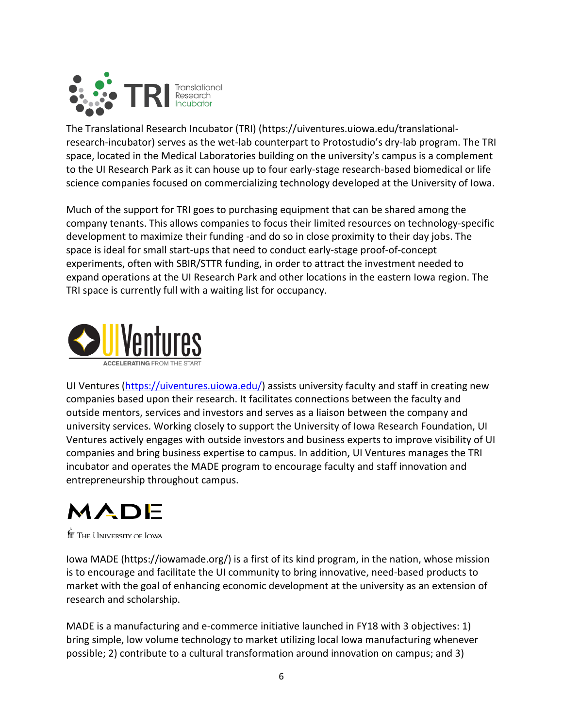

The Translational Research Incubator (TRI) (https://uiventures.uiowa.edu/translationalresearch-incubator) serves as the wet-lab counterpart to Protostudio's dry-lab program. The TRI space, located in the Medical Laboratories building on the university's campus is a complement to the UI Research Park as it can house up to four early-stage research-based biomedical or life science companies focused on commercializing technology developed at the University of Iowa.

Much of the support for TRI goes to purchasing equipment that can be shared among the company tenants. This allows companies to focus their limited resources on technology-specific development to maximize their funding -and do so in close proximity to their day jobs. The space is ideal for small start-ups that need to conduct early-stage proof-of-concept experiments, often with SBIR/STTR funding, in order to attract the investment needed to expand operations at the UI Research Park and other locations in the eastern Iowa region. The TRI space is currently full with a waiting list for occupancy.



UI Ventures [\(https://uiventures.uiowa.edu/\)](https://uiventures.uiowa.edu/) assists university faculty and staff in creating new companies based upon their research. It facilitates connections between the faculty and outside mentors, services and investors and serves as a liaison between the company and university services. Working closely to support the University of Iowa Research Foundation, UI Ventures actively engages with outside investors and business experts to improve visibility of UI companies and bring business expertise to campus. In addition, UI Ventures manages the TRI incubator and operates the MADE program to encourage faculty and staff innovation and entrepreneurship throughout campus.

# MADE

**for** The University of Iowa

Iowa MADE (https://iowamade.org/) is a first of its kind program, in the nation, whose mission is to encourage and facilitate the UI community to bring innovative, need-based products to market with the goal of enhancing economic development at the university as an extension of research and scholarship.

MADE is a manufacturing and e-commerce initiative launched in FY18 with 3 objectives: 1) bring simple, low volume technology to market utilizing local Iowa manufacturing whenever possible; 2) contribute to a cultural transformation around innovation on campus; and 3)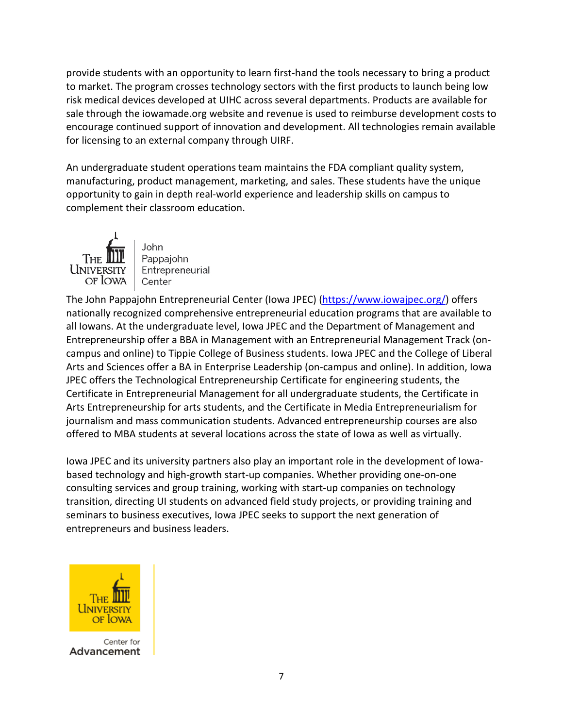provide students with an opportunity to learn first-hand the tools necessary to bring a product to market. The program crosses technology sectors with the first products to launch being low risk medical devices developed at UIHC across several departments. Products are available for sale through the iowamade.org website and revenue is used to reimburse development costs to encourage continued support of innovation and development. All technologies remain available for licensing to an external company through UIRF.

An undergraduate student operations team maintains the FDA compliant quality system, manufacturing, product management, marketing, and sales. These students have the unique opportunity to gain in depth real-world experience and leadership skills on campus to complement their classroom education.



John Pappajohn Entrepreneurial Center

The John Pappajohn Entrepreneurial Center (Iowa JPEC) [\(https://www.iowajpec.org/\)](https://www.iowajpec.org/) offers nationally recognized comprehensive entrepreneurial education programs that are available to all Iowans. At the undergraduate level, Iowa JPEC and the Department of Management and Entrepreneurship offer a BBA in Management with an Entrepreneurial Management Track (oncampus and online) to Tippie College of Business students. Iowa JPEC and the College of Liberal Arts and Sciences offer a BA in Enterprise Leadership (on-campus and online). In addition, Iowa JPEC offers the Technological Entrepreneurship Certificate for engineering students, the Certificate in Entrepreneurial Management for all undergraduate students, the Certificate in Arts Entrepreneurship for arts students, and the Certificate in Media Entrepreneurialism for journalism and mass communication students. Advanced entrepreneurship courses are also offered to MBA students at several locations across the state of Iowa as well as virtually.

Iowa JPEC and its university partners also play an important role in the development of Iowabased technology and high-growth start-up companies. Whether providing one-on-one consulting services and group training, working with start-up companies on technology transition, directing UI students on advanced field study projects, or providing training and seminars to business executives, Iowa JPEC seeks to support the next generation of entrepreneurs and business leaders.



Center for Advancement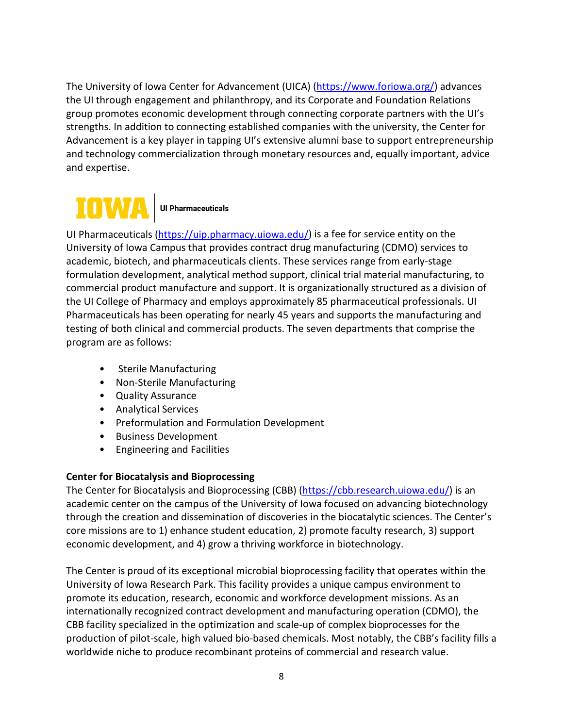The University of Iowa Center for Advancement (UICA) [\(https://www.foriowa.org/\)](https://www.foriowa.org/) advances the UI through engagement and philanthropy, and its Corporate and Foundation Relations group promotes economic development through connecting corporate partners with the UI's strengths. In addition to connecting established companies with the university, the Center for Advancement is a key player in tapping UI's extensive alumni base to support entrepreneurship and technology commercialization through monetary resources and, equally important, advice and expertise.



UI Pharmaceuticals [\(https://uip.pharmacy.uiowa.edu/\)](https://uip.pharmacy.uiowa.edu/) is a fee for service entity on the University of Iowa Campus that provides contract drug manufacturing (CDMO) services to academic, biotech, and pharmaceuticals clients. These services range from early-stage formulation development, analytical method support, clinical trial material manufacturing, to commercial product manufacture and support. It is organizationally structured as a division of the UI College of Pharmacy and employs approximately 85 pharmaceutical professionals. UI Pharmaceuticals has been operating for nearly 45 years and supports the manufacturing and testing of both clinical and commercial products. The seven departments that comprise the program are as follows:

- Sterile Manufacturing
- Non-Sterile Manufacturing
- Quality Assurance
- Analytical Services
- Preformulation and Formulation Development
- Business Development
- Engineering and Facilities

## **Center for Biocatalysis and Bioprocessing**

The Center for Biocatalysis and Bioprocessing (CBB) [\(https://cbb.research.uiowa.edu/\)](https://cbb.research.uiowa.edu/) is an academic center on the campus of the University of Iowa focused on advancing biotechnology through the creation and dissemination of discoveries in the biocatalytic sciences. The Center's core missions are to 1) enhance student education, 2) promote faculty research, 3) support economic development, and 4) grow a thriving workforce in biotechnology.

The Center is proud of its exceptional microbial bioprocessing facility that operates within the University of Iowa Research Park. This facility provides a unique campus environment to promote its education, research, economic and workforce development missions. As an internationally recognized contract development and manufacturing operation (CDMO), the CBB facility specialized in the optimization and scale-up of complex bioprocesses for the production of pilot-scale, high valued bio-based chemicals. Most notably, the CBB's facility fills a worldwide niche to produce recombinant proteins of commercial and research value.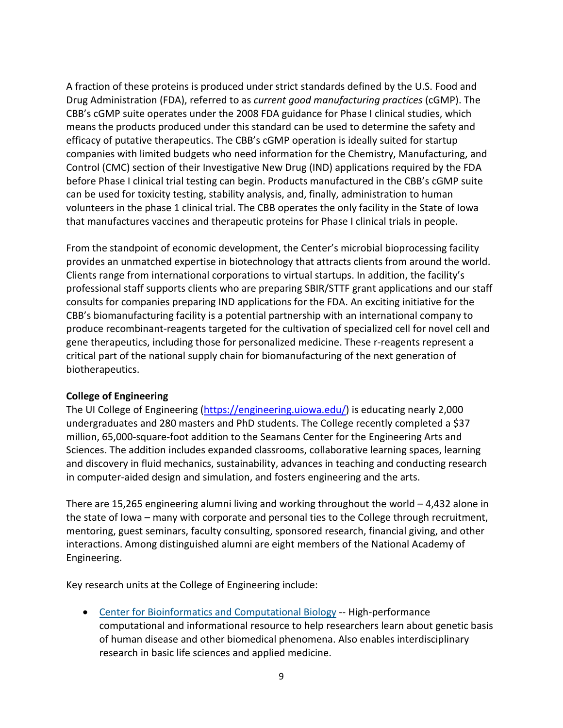A fraction of these proteins is produced under strict standards defined by the U.S. Food and Drug Administration (FDA), referred to as *current good manufacturing practices* (cGMP). The CBB's cGMP suite operates under the 2008 FDA guidance for Phase I clinical studies, which means the products produced under this standard can be used to determine the safety and efficacy of putative therapeutics. The CBB's cGMP operation is ideally suited for startup companies with limited budgets who need information for the Chemistry, Manufacturing, and Control (CMC) section of their Investigative New Drug (IND) applications required by the FDA before Phase I clinical trial testing can begin. Products manufactured in the CBB's cGMP suite can be used for toxicity testing, stability analysis, and, finally, administration to human volunteers in the phase 1 clinical trial. The CBB operates the only facility in the State of Iowa that manufactures vaccines and therapeutic proteins for Phase I clinical trials in people.

From the standpoint of economic development, the Center's microbial bioprocessing facility provides an unmatched expertise in biotechnology that attracts clients from around the world. Clients range from international corporations to virtual startups. In addition, the facility's professional staff supports clients who are preparing SBIR/STTF grant applications and our staff consults for companies preparing IND applications for the FDA. An exciting initiative for the CBB's biomanufacturing facility is a potential partnership with an international company to produce recombinant-reagents targeted for the cultivation of specialized cell for novel cell and gene therapeutics, including those for personalized medicine. These r-reagents represent a critical part of the national supply chain for biomanufacturing of the next generation of biotherapeutics.

#### **College of Engineering**

The UI College of Engineering [\(https://engineering.uiowa.edu/\)](https://engineering.uiowa.edu/) is educating nearly 2,000 undergraduates and 280 masters and PhD students. The College recently completed a \$37 million, 65,000-square-foot addition to the Seamans Center for the Engineering Arts and Sciences. The addition includes expanded classrooms, collaborative learning spaces, learning and discovery in fluid mechanics, sustainability, advances in teaching and conducting research in computer-aided design and simulation, and fosters engineering and the arts.

There are 15,265 engineering alumni living and working throughout the world – 4,432 alone in the state of Iowa – many with corporate and personal ties to the College through recruitment, mentoring, guest seminars, faculty consulting, sponsored research, financial giving, and other interactions. Among distinguished alumni are eight members of the National Academy of Engineering.

Key research units at the College of Engineering include:

• [Center for Bioinformatics and Computational Biology](http://genome.uiowa.edu/) -- High-performance computational and informational resource to help researchers learn about genetic basis of human disease and other biomedical phenomena. Also enables interdisciplinary research in basic life sciences and applied medicine.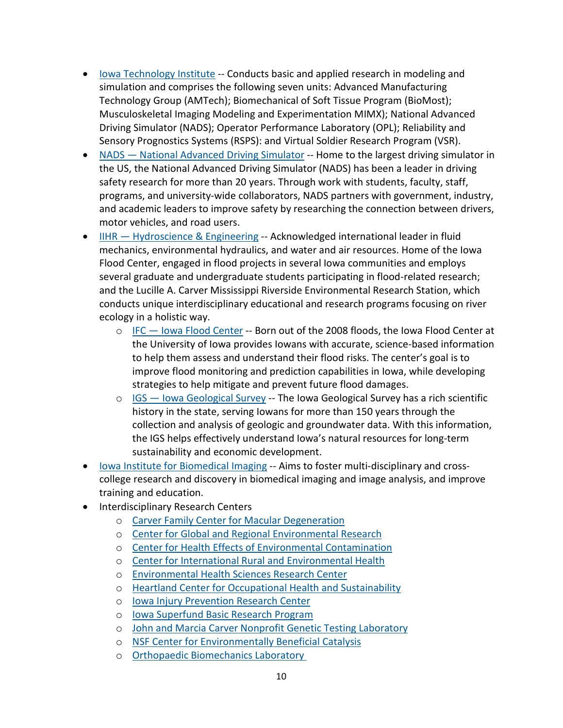- [Iowa Technology Institute](http://www.ccad.uiowa.edu/) -- Conducts basic and applied research in modeling and simulation and comprises the following seven units: Advanced Manufacturing Technology Group (AMTech); Biomechanical of Soft Tissue Program (BioMost); Musculoskeletal Imaging Modeling and Experimentation MIMX); National Advanced Driving Simulator (NADS); Operator Performance Laboratory (OPL); Reliability and Sensory Prognostics Systems (RSPS): and Virtual Soldier Research Program (VSR).
- [NADS](https://www.nads-sc.uiowa.edu/) [—](https://www.nads-sc.uiowa.edu/) [National Advanced Driving Simulator](https://www.nads-sc.uiowa.edu/) -- Home to the largest driving simulator in the US, the National Advanced Driving Simulator (NADS) has been a leader in driving safety research for more than 20 years. Through work with students, faculty, staff, programs, and university-wide collaborators, NADS partners with government, industry, and academic leaders to improve safety by researching the connection between drivers, motor vehicles, and road users.
- IIHR [Hydroscience & Engineering](http://www.iihr.uiowa.edu/) -- Acknowledged international leader in fluid mechanics, environmental hydraulics, and water and air resources. Home of the Iowa Flood Center, engaged in flood projects in several Iowa communities and employs several graduate and undergraduate students participating in flood-related research; and the Lucille A. Carver Mississippi Riverside Environmental Research Station, which conducts unique interdisciplinary educational and research programs focusing on river ecology in a holistic way.
	- o IFC [Iowa Flood Center](http://iowafloodcenter.org/) -- Born out of the 2008 floods, the Iowa Flood Center at the University of Iowa provides Iowans with accurate, science-based information to help them assess and understand their flood risks. The center's goal is to improve flood monitoring and prediction capabilities in Iowa, while developing strategies to help mitigate and prevent future flood damages.
	- $\circ$  IGS [Iowa Geological Survey](http://www.iihr.uiowa.edu/igs) -- The Iowa Geological Survey has a rich scientific history in the state, serving Iowans for more than 150 years through the collection and analysis of geologic and groundwater data. With this information, the IGS helps effectively understand Iowa's natural resources for long-term sustainability and economic development.
- [Iowa Institute for Biomedical Imaging](http://www.iibi.uiowa.edu/) -- Aims to foster multi-disciplinary and crosscollege research and discovery in biomedical imaging and image analysis, and improve training and education.
- Interdisciplinary Research Centers
	- o [Carver Family Center for Macular Degeneration](https://www.carverlab.org/)
	- o [Center for Global and Regional Environmental Research](http://cgrer.uiowa.edu/)
	- o [Center for Health Effects of Environmental Contamination](http://www.cheec.uiowa.edu/)
	- o [Center for International Rural and Environmental Health](http://www.public-health.uiowa.edu/cireh/)
	- o [Environmental Health Sciences Research Center](http://cph.uiowa.edu/ehsrc/)
	- o [Heartland Center for Occupational Health and Sustainability](http://www.public-health.uiowa.edu/heartland/)
	- o [Iowa Injury Prevention Research Center](http://www.public-health.uiowa.edu/IPRC/index.html)
	- o [Iowa Superfund Basic Research Program](http://iowasuperfund.uiowa.edu/)
	- o [John and Marcia Carver Nonprofit Genetic Testing Laboratory](https://www.carverlab.org/)
	- o NSF [Center for Environmentally Beneficial Catalysis](https://kuscholarworks.ku.edu/handle/1808/907)
	- o [Orthopaedic Biomechanics Laboratory](https://uiowa.edu/uiobl/)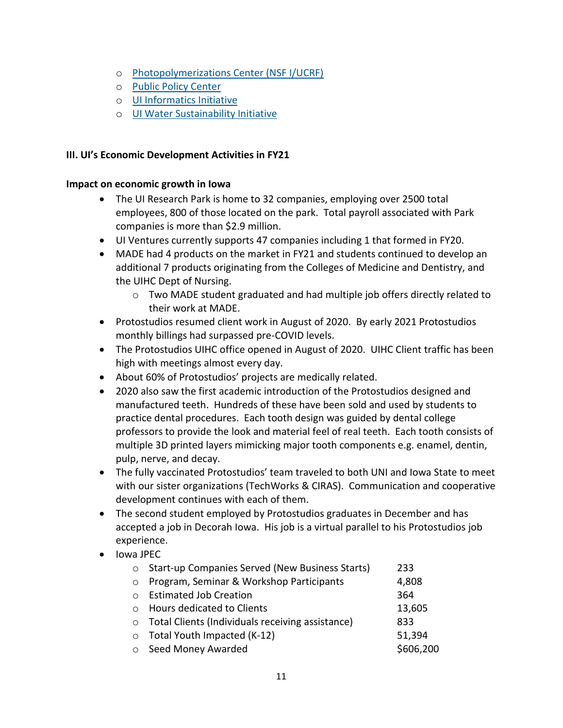- o [Photopolymerizations Center \(NSF I/UCRF\)](http://user.engineering.uiowa.edu/%7Ecfap/iucrc_introduction.htm)
- o [Public Policy Center](http://ppc.uiowa.edu/)
- o [UI Informatics Initiative](http://informatics.uiowa.edu/)
- o [UI Water Sustainability Initiative](http://www.iihr.uiowa.edu/watersustainability/)

### **III. UI's Economic Development Activities in FY21**

#### **Impact on economic growth in Iowa**

- The UI Research Park is home to 32 companies, employing over 2500 total employees, 800 of those located on the park. Total payroll associated with Park companies is more than \$2.9 million.
- UI Ventures currently supports 47 companies including 1 that formed in FY20.
- MADE had 4 products on the market in FY21 and students continued to develop an additional 7 products originating from the Colleges of Medicine and Dentistry, and the UIHC Dept of Nursing.
	- o Two MADE student graduated and had multiple job offers directly related to their work at MADE.
- Protostudios resumed client work in August of 2020. By early 2021 Protostudios monthly billings had surpassed pre-COVID levels.
- The Protostudios UIHC office opened in August of 2020. UIHC Client traffic has been high with meetings almost every day.
- About 60% of Protostudios' projects are medically related.
- 2020 also saw the first academic introduction of the Protostudios designed and manufactured teeth. Hundreds of these have been sold and used by students to practice dental procedures. Each tooth design was guided by dental college professors to provide the look and material feel of real teeth. Each tooth consists of multiple 3D printed layers mimicking major tooth components e.g. enamel, dentin, pulp, nerve, and decay.
- The fully vaccinated Protostudios' team traveled to both UNI and Iowa State to meet with our sister organizations (TechWorks & CIRAS). Communication and cooperative development continues with each of them.
- The second student employed by Protostudios graduates in December and has accepted a job in Decorah Iowa. His job is a virtual parallel to his Protostudios job experience.
- Iowa JPEC

| $\circ$   | Start-up Companies Served (New Business Starts)    | 233       |
|-----------|----------------------------------------------------|-----------|
| $\circ$   | Program, Seminar & Workshop Participants           | 4,808     |
| $\bigcap$ | <b>Estimated Job Creation</b>                      | 364       |
| $\bigcap$ | Hours dedicated to Clients                         | 13,605    |
|           | o Total Clients (Individuals receiving assistance) | 833       |
|           | $\circ$ Total Youth Impacted (K-12)                | 51,394    |
| $\circ$   | Seed Money Awarded                                 | \$606,200 |
|           |                                                    |           |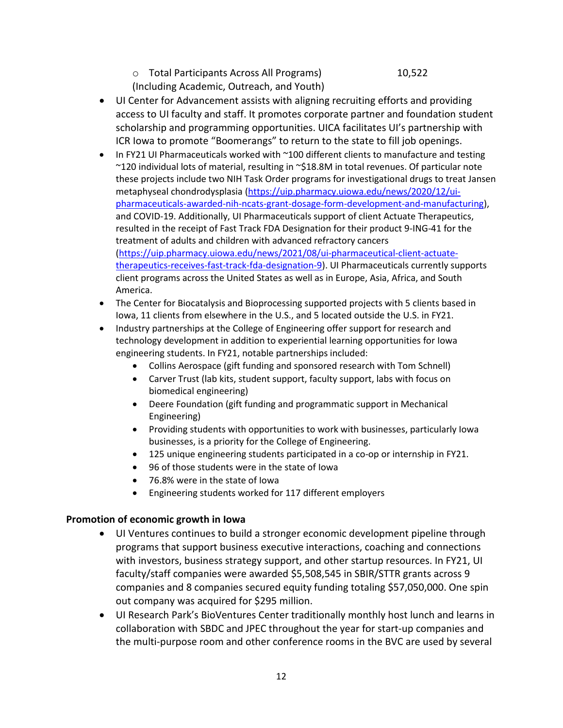o Total Participants Across All Programs) 10,522

(Including Academic, Outreach, and Youth)

- UI Center for Advancement assists with aligning recruiting efforts and providing access to UI faculty and staff. It promotes corporate partner and foundation student scholarship and programming opportunities. UICA facilitates UI's partnership with ICR Iowa to promote "Boomerangs" to return to the state to fill job openings.
- In FY21 UI Pharmaceuticals worked with ~100 different clients to manufacture and testing ~120 individual lots of material, resulting in ~\$18.8M in total revenues. Of particular note these projects include two NIH Task Order programs for investigational drugs to treat Jansen metaphyseal chondrodysplasia [\(https://uip.pharmacy.uiowa.edu/news/2020/12/ui](https://uip.pharmacy.uiowa.edu/news/2020/12/ui-pharmaceuticals-awarded-nih-ncats-grant-dosage-form-development-and-manufacturing)[pharmaceuticals-awarded-nih-ncats-grant-dosage-form-development-and-manufacturing\)](https://uip.pharmacy.uiowa.edu/news/2020/12/ui-pharmaceuticals-awarded-nih-ncats-grant-dosage-form-development-and-manufacturing), and COVID-19. Additionally, UI Pharmaceuticals support of client Actuate Therapeutics, resulted in the receipt of Fast Track FDA Designation for their product 9-ING-41 for the treatment of adults and children with advanced refractory cancers [\(https://uip.pharmacy.uiowa.edu/news/2021/08/ui-pharmaceutical-client-actuate](https://uip.pharmacy.uiowa.edu/news/2021/08/ui-pharmaceutical-client-actuate-therapeutics-receives-fast-track-fda-designation-9)[therapeutics-receives-fast-track-fda-designation-9\)](https://uip.pharmacy.uiowa.edu/news/2021/08/ui-pharmaceutical-client-actuate-therapeutics-receives-fast-track-fda-designation-9). UI Pharmaceuticals currently supports client programs across the United States as well as in Europe, Asia, Africa, and South America.
- The Center for Biocatalysis and Bioprocessing supported projects with 5 clients based in Iowa, 11 clients from elsewhere in the U.S., and 5 located outside the U.S. in FY21.
- Industry partnerships at the College of Engineering offer support for research and technology development in addition to experiential learning opportunities for Iowa engineering students. In FY21, notable partnerships included:
	- Collins Aerospace (gift funding and sponsored research with Tom Schnell)
	- Carver Trust (lab kits, student support, faculty support, labs with focus on biomedical engineering)
	- Deere Foundation (gift funding and programmatic support in Mechanical Engineering)
	- Providing students with opportunities to work with businesses, particularly Iowa businesses, is a priority for the College of Engineering.
	- 125 unique engineering students participated in a co-op or internship in FY21.
	- 96 of those students were in the state of Iowa
	- 76.8% were in the state of Iowa
	- Engineering students worked for 117 different employers

#### **Promotion of economic growth in Iowa**

- UI Ventures continues to build a stronger economic development pipeline through programs that support business executive interactions, coaching and connections with investors, business strategy support, and other startup resources. In FY21, UI faculty/staff companies were awarded \$5,508,545 in SBIR/STTR grants across 9 companies and 8 companies secured equity funding totaling \$57,050,000. One spin out company was acquired for \$295 million.
- UI Research Park's BioVentures Center traditionally monthly host lunch and learns in collaboration with SBDC and JPEC throughout the year for start-up companies and the multi-purpose room and other conference rooms in the BVC are used by several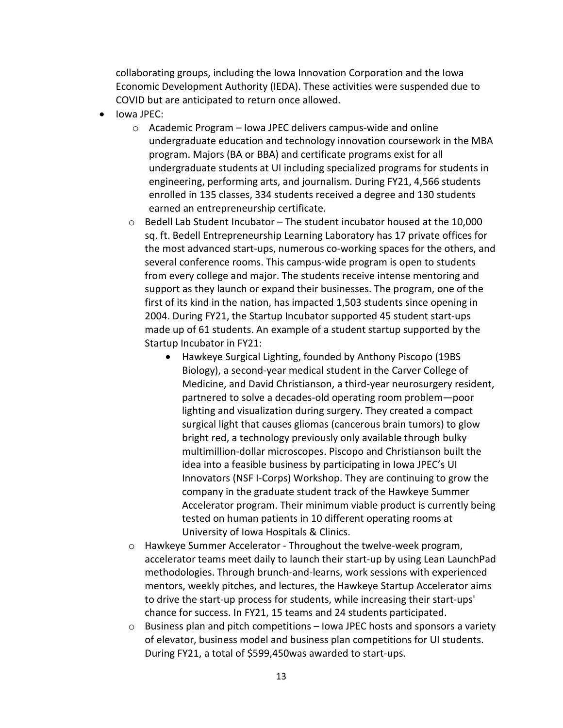collaborating groups, including the Iowa Innovation Corporation and the Iowa Economic Development Authority (IEDA). These activities were suspended due to COVID but are anticipated to return once allowed.

- Iowa JPEC:
	- o Academic Program Iowa JPEC delivers campus-wide and online undergraduate education and technology innovation coursework in the MBA program. Majors (BA or BBA) and certificate programs exist for all undergraduate students at UI including specialized programs for students in engineering, performing arts, and journalism. During FY21, 4,566 students enrolled in 135 classes, 334 students received a degree and 130 students earned an entrepreneurship certificate.
	- $\circ$  Bedell Lab Student Incubator The student incubator housed at the 10,000 sq. ft. Bedell Entrepreneurship Learning Laboratory has 17 private offices for the most advanced start-ups, numerous co-working spaces for the others, and several conference rooms. This campus-wide program is open to students from every college and major. The students receive intense mentoring and support as they launch or expand their businesses. The program, one of the first of its kind in the nation, has impacted 1,503 students since opening in 2004. During FY21, the Startup Incubator supported 45 student start-ups made up of 61 students. An example of a student startup supported by the Startup Incubator in FY21:
		- Hawkeye Surgical Lighting, founded by Anthony Piscopo (19BS Biology), a second-year medical student in the Carver College of Medicine, and David Christianson, a third-year neurosurgery resident, partnered to solve a decades-old operating room problem—poor lighting and visualization during surgery. They created a compact surgical light that causes gliomas (cancerous brain tumors) to glow bright red, a technology previously only available through bulky multimillion-dollar microscopes. Piscopo and Christianson built the idea into a feasible business by participating in Iowa JPEC's UI Innovators (NSF I-Corps) Workshop. They are continuing to grow the company in the graduate student track of the Hawkeye Summer Accelerator program. Their minimum viable product is currently being tested on human patients in 10 different operating rooms at University of Iowa Hospitals & Clinics.
	- o Hawkeye Summer Accelerator Throughout the twelve-week program, accelerator teams meet daily to launch their start-up by using Lean LaunchPad methodologies. Through brunch-and-learns, work sessions with experienced mentors, weekly pitches, and lectures, the Hawkeye Startup Accelerator aims to drive the start-up process for students, while increasing their start-ups' chance for success. In FY21, 15 teams and 24 students participated.
	- o Business plan and pitch competitions Iowa JPEC hosts and sponsors a variety of elevator, business model and business plan competitions for UI students. During FY21, a total of \$599,450was awarded to start-ups.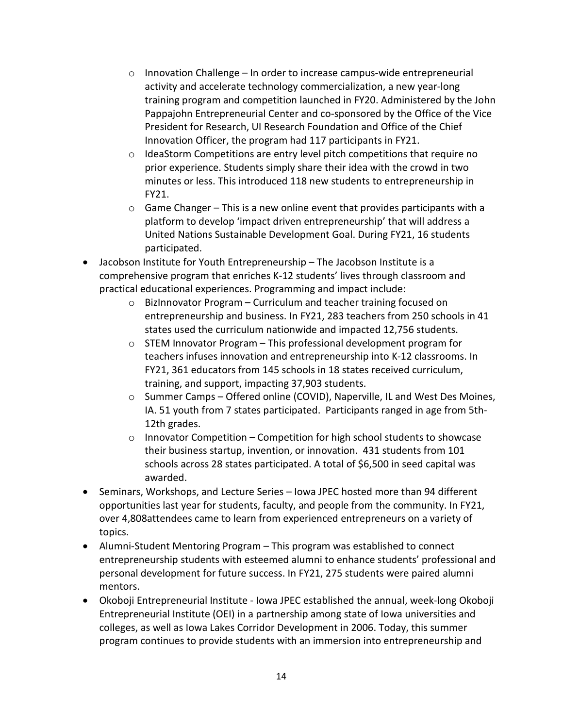- $\circ$  Innovation Challenge In order to increase campus-wide entrepreneurial activity and accelerate technology commercialization, a new year-long training program and competition launched in FY20. Administered by the John Pappajohn Entrepreneurial Center and co-sponsored by the Office of the Vice President for Research, UI Research Foundation and Office of the Chief Innovation Officer, the program had 117 participants in FY21.
- $\circ$  IdeaStorm Competitions are entry level pitch competitions that require no prior experience. Students simply share their idea with the crowd in two minutes or less. This introduced 118 new students to entrepreneurship in FY21.
- $\circ$  Game Changer This is a new online event that provides participants with a platform to develop 'impact driven entrepreneurship' that will address a United Nations Sustainable Development Goal. During FY21, 16 students participated.
- Jacobson Institute for Youth Entrepreneurship The Jacobson Institute is a comprehensive program that enriches K-12 students' lives through classroom and practical educational experiences. Programming and impact include:
	- o BizInnovator Program Curriculum and teacher training focused on entrepreneurship and business. In FY21, 283 teachers from 250 schools in 41 states used the curriculum nationwide and impacted 12,756 students.
	- o STEM Innovator Program This professional development program for teachers infuses innovation and entrepreneurship into K-12 classrooms. In FY21, 361 educators from 145 schools in 18 states received curriculum, training, and support, impacting 37,903 students.
	- o Summer Camps Offered online (COVID), Naperville, IL and West Des Moines, IA. 51 youth from 7 states participated. Participants ranged in age from 5th-12th grades.
	- $\circ$  Innovator Competition Competition for high school students to showcase their business startup, invention, or innovation. 431 students from 101 schools across 28 states participated. A total of \$6,500 in seed capital was awarded.
- Seminars, Workshops, and Lecture Series Iowa JPEC hosted more than 94 different opportunities last year for students, faculty, and people from the community. In FY21, over 4,808attendees came to learn from experienced entrepreneurs on a variety of topics.
- Alumni-Student Mentoring Program This program was established to connect entrepreneurship students with esteemed alumni to enhance students' professional and personal development for future success. In FY21, 275 students were paired alumni mentors.
- Okoboji Entrepreneurial Institute Iowa JPEC established the annual, week-long Okoboji Entrepreneurial Institute (OEI) in a partnership among state of Iowa universities and colleges, as well as Iowa Lakes Corridor Development in 2006. Today, this summer program continues to provide students with an immersion into entrepreneurship and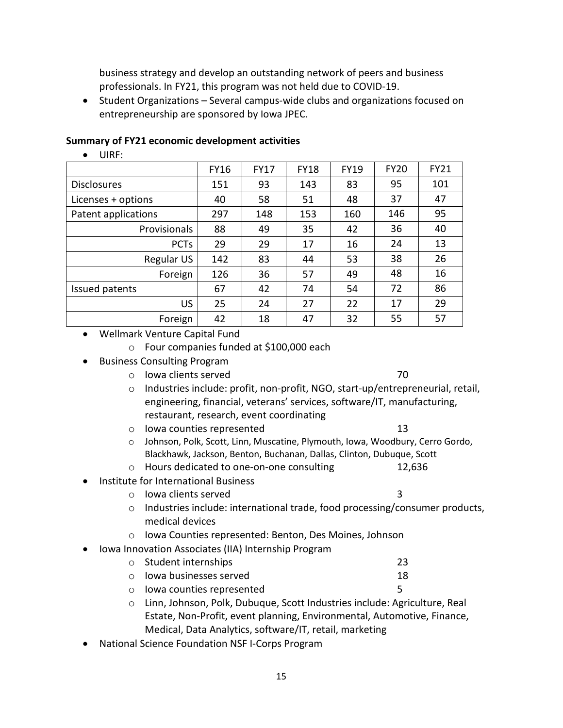business strategy and develop an outstanding network of peers and business professionals. In FY21, this program was not held due to COVID-19.

• Student Organizations – Several campus-wide clubs and organizations focused on entrepreneurship are sponsored by Iowa JPEC.

#### **Summary of FY21 economic development activities**

• UIRF:

|                     | <b>FY16</b> | <b>FY17</b> | <b>FY18</b> | <b>FY19</b> | <b>FY20</b> | <b>FY21</b> |
|---------------------|-------------|-------------|-------------|-------------|-------------|-------------|
| <b>Disclosures</b>  | 151         | 93          | 143         | 83          | 95          | 101         |
| Licenses + options  | 40          | 58          | 51          | 48          | 37          | 47          |
| Patent applications | 297         | 148         | 153         | 160         | 146         | 95          |
| Provisionals        | 88          | 49          | 35          | 42          | 36          | 40          |
| <b>PCTs</b>         | 29          | 29          | 17          | 16          | 24          | 13          |
| Regular US          | 142         | 83          | 44          | 53          | 38          | 26          |
| Foreign             | 126         | 36          | 57          | 49          | 48          | 16          |
| Issued patents      | 67          | 42          | 74          | 54          | 72          | 86          |
| <b>US</b>           | 25          | 24          | 27          | 22          | 17          | 29          |
| Foreign             | 42          | 18          | 47          | 32          | 55          | 57          |

- Wellmark Venture Capital Fund
	- o Four companies funded at \$100,000 each
- Business Consulting Program
	- o Iowa clients served 70

- o Industries include: profit, non-profit, NGO, start-up/entrepreneurial, retail, engineering, financial, veterans' services, software/IT, manufacturing, restaurant, research, event coordinating
- o Iowa counties represented 13
- o Johnson, Polk, Scott, Linn, Muscatine, Plymouth, Iowa, Woodbury, Cerro Gordo, Blackhawk, Jackson, Benton, Buchanan, Dallas, Clinton, Dubuque, Scott
- o Hours dedicated to one-on-one consulting 12,636
- Institute for International Business
	- o Iowa clients served 3

- o Industries include: international trade, food processing/consumer products, medical devices
- o Iowa Counties represented: Benton, Des Moines, Johnson
- Iowa Innovation Associates (IIA) Internship Program
	- o Student internships 23<br>
	23<br>
	28 Iowa businesses served
	- $\circ$  lowa businesses served
	- o Iowa counties represented 5
	- o Linn, Johnson, Polk, Dubuque, Scott Industries include: Agriculture, Real Estate, Non-Profit, event planning, Environmental, Automotive, Finance, Medical, Data Analytics, software/IT, retail, marketing
- National Science Foundation NSF I-Corps Program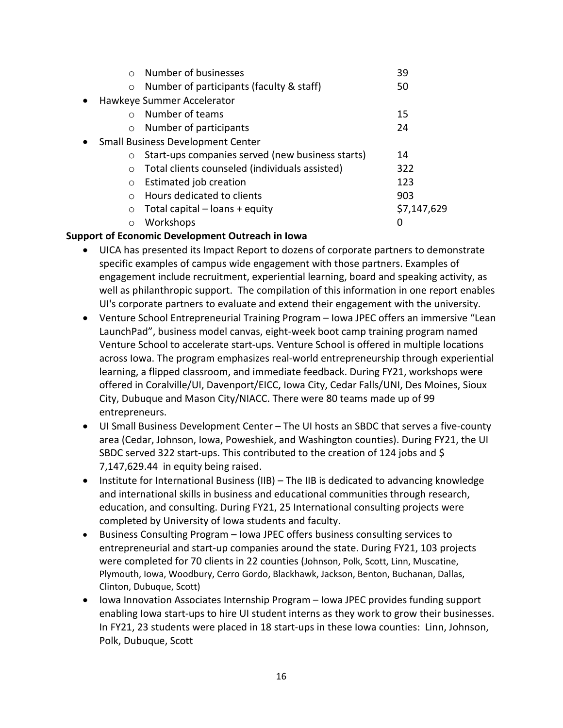| $\bigcap$                                | Number of businesses                             | 39          |  |  |  |  |
|------------------------------------------|--------------------------------------------------|-------------|--|--|--|--|
| $\circ$                                  | Number of participants (faculty & staff)         | 50          |  |  |  |  |
| Hawkeye Summer Accelerator               |                                                  |             |  |  |  |  |
| $\bigcap$                                | Number of teams                                  | 15          |  |  |  |  |
| $\circ$                                  | Number of participants                           | 24          |  |  |  |  |
| <b>Small Business Development Center</b> |                                                  |             |  |  |  |  |
| $\circ$                                  | Start-ups companies served (new business starts) | 14          |  |  |  |  |
| $\circ$                                  | Total clients counseled (individuals assisted)   | 322         |  |  |  |  |
| $\circ$                                  | Estimated job creation                           | 123         |  |  |  |  |
| $\bigcap$                                | Hours dedicated to clients                       | 903         |  |  |  |  |
| $\circ$                                  | Total capital $-$ loans $+$ equity               | \$7,147,629 |  |  |  |  |
| Ο                                        | Workshops                                        | 0           |  |  |  |  |
|                                          |                                                  |             |  |  |  |  |

#### **Support of Economic Development Outreach in Iowa**

- UICA has presented its Impact Report to dozens of corporate partners to demonstrate specific examples of campus wide engagement with those partners. Examples of engagement include recruitment, experiential learning, board and speaking activity, as well as philanthropic support. The compilation of this information in one report enables UI's corporate partners to evaluate and extend their engagement with the university.
- Venture School Entrepreneurial Training Program Iowa JPEC offers an immersive "Lean LaunchPad", business model canvas, eight-week boot camp training program named Venture School to accelerate start-ups. Venture School is offered in multiple locations across Iowa. The program emphasizes real-world entrepreneurship through experiential learning, a flipped classroom, and immediate feedback. During FY21, workshops were offered in Coralville/UI, Davenport/EICC, Iowa City, Cedar Falls/UNI, Des Moines, Sioux City, Dubuque and Mason City/NIACC. There were 80 teams made up of 99 entrepreneurs.
- UI Small Business Development Center The UI hosts an SBDC that serves a five-county area (Cedar, Johnson, Iowa, Poweshiek, and Washington counties). During FY21, the UI SBDC served 322 start-ups. This contributed to the creation of 124 jobs and \$ 7,147,629.44 in equity being raised.
- Institute for International Business (IIB) The IIB is dedicated to advancing knowledge and international skills in business and educational communities through research, education, and consulting. During FY21, 25 International consulting projects were completed by University of Iowa students and faculty.
- Business Consulting Program Iowa JPEC offers business consulting services to entrepreneurial and start-up companies around the state. During FY21, 103 projects were completed for 70 clients in 22 counties (Johnson, Polk, Scott, Linn, Muscatine, Plymouth, Iowa, Woodbury, Cerro Gordo, Blackhawk, Jackson, Benton, Buchanan, Dallas, Clinton, Dubuque, Scott)
- Iowa Innovation Associates Internship Program Iowa JPEC provides funding support enabling Iowa start-ups to hire UI student interns as they work to grow their businesses. In FY21, 23 students were placed in 18 start-ups in these Iowa counties: Linn, Johnson, Polk, Dubuque, Scott